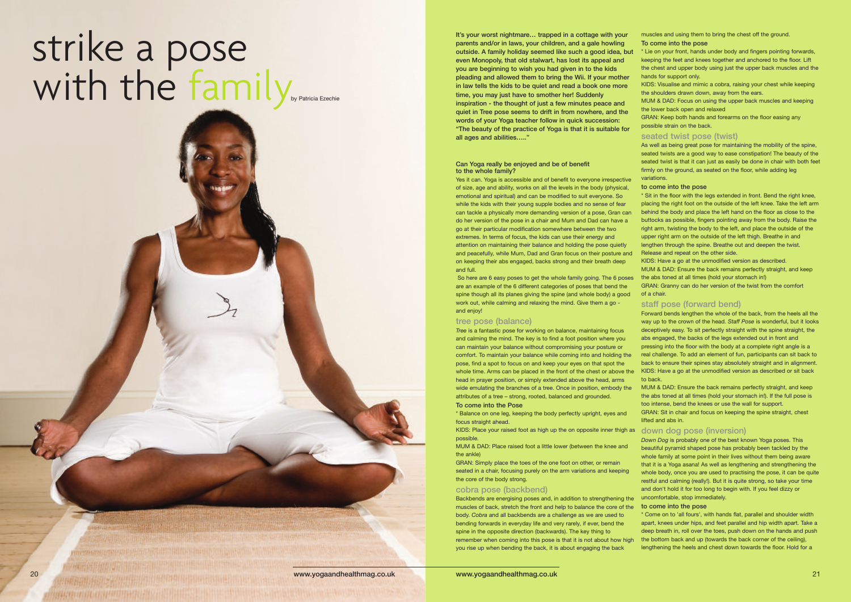**It's your worst nightmare… trapped in a cottage with your parents and/or in laws, your children, and a gale howling outside. A family holiday seemed like such a good idea, but even Monopoly, that old stalwart, has lost its appeal and you are beginning to wish you had given in to the kids pleading and allowed them to bring the Wii. If your mother in law tells the kids to be quiet and read a book one more time, you may just have to smother her! Suddenly inspiration - the thought of just a few minutes peace and quiet in Tree pose seems to drift in from nowhere, and the words of your Yoga teacher follow in quick succession: "The beauty of the practice of Yoga is that it is suitable for all ages and abilities….."**

### **Can Yoga really be enjoyed and be of benefit to the whole family?**

Yes it can. Yoga is accessible and of benefit to everyone irrespective of size, age and ability, works on all the levels in the body (physical, emotional and spiritual) and can be modified to suit everyone. So while the kids with their young supple bodies and no sense of fear can tackle a physically more demanding version of a pose, Gran can do her version of the pose in a chair and Mum and Dad can have a go at their particular modification somewhere between the two extremes. In terms of focus, the kids can use their energy and attention on maintaining their balance and holding the pose quietly and peacefully, while Mum, Dad and Gran focus on their posture and on keeping their abs engaged, backs strong and their breath deep and full.

# strike a pose with the family<sub>by Patricia Ezechie</sub>

WARD AND CARD MARINE AND AN AND THE HOME AND THE REAL PROPERTY.

So here are 6 easy poses to get the whole family going. The 6 poses are an example of the 6 different categories of poses that bend the spine though all its planes giving the spine (and whole body) a good work out, while calming and relaxing the mind. Give them a go and enjoy!

### **tree pose (balance)**

*Tree* is a fantastic pose for working on balance, maintaining focus and calming the mind. The key is to find a foot position where you can maintain your balance without compromising your posture or comfort. To maintain your balance while coming into and holding the pose, find a spot to focus on and keep your eyes on that spot the whole time. Arms can be placed in the front of the chest or above the head in prayer position, or simply extended above the head, arms wide emulating the branches of a tree. Once in position, embody the attributes of a tree – strong, rooted, balanced and grounded.

### **To come into the Pose**

\* Balance on one leg, keeping the body perfectly upright, eyes and focus straight ahead.

KIDS: Place your raised foot as high up the on opposite inner thigh as **down dog pose (inversion)** possible.

MUM & DAD: Place raised foot a little lower (between the knee and the ankle)

GRAN: Simply place the toes of the one foot on other, or remain seated in a chair, focusing purely on the arm variations and keeping the core of the body strong.

## **cobra pose (backbend)**

muscles and using them to bring the chest off the ground.

### **To come into the pose**

\* Lie on your front, hands under body and fingers pointing forwards, keeping the feet and knees together and anchored to the floor. Lift the chest and upper body using just the upper back muscles and the hands for support only.

KIDS: Visualise and mimic a cobra, raising your chest while keeping the shoulders drawn down, away from the ears.

MUM & DAD: Focus on using the upper back muscles and keeping the lower back open and relaxed

GRAN: Keep both hands and forearms on the floor easing any possible strain on the back.

# **seated twist pose (twist)**

As well as being great pose for maintaining the mobility of the spine, seated twists are a good way to ease constipation! The beauty of the seated twist is that it can just as easily be done in chair with both feet firmly on the ground, as seated on the floor, while adding leg variations.

### **to come into the pose**

\* Sit in the floor with the legs extended in front. Bend the right knee, placing the right foot on the outside of the left knee. Take the left arm behind the body and place the left hand on the floor as close to the buttocks as possible, fingers pointing away from the body. Raise the right arm, twisting the body to the left, and place the outside of the upper right arm on the outside of the left thigh. Breathe in and lengthen through the spine. Breathe out and deepen the twist. Release and repeat on the other side.

Backbends are energising poses and, in addition to strengthening the muscles of back, stretch the front and help to balance the core of the body. *Cobra* and all backbends are a challenge as we are used to bending forwards in everyday life and very rarely, if ever, bend the spine in the opposite direction (backwards). The key thing to remember when coming into this pose is that it is not about how high you rise up when bending the back, it is about engaging the back **to come into the pose** \* Come on to 'all fours', with hands flat, parallel and shoulder width apart, knees under hips, and feet parallel and hip width apart. Take a deep breath in, roll over the toes, push down on the hands and push the bottom back and up (towards the back corner of the ceiling), lengthening the heels and chest down towards the floor. Hold for a

KIDS: Have a go at the unmodified version as described.

MUM & DAD: Ensure the back remains perfectly straight, and keep the abs toned at all times (hold your stomach in!)

GRAN: Granny can do her version of the twist from the comfort of a chair.

### **staff pose (forward bend)**

Forward bends lengthen the whole of the back, from the heels all the way up to the crown of the head. *Staff Pose* is wonderful, but it looks deceptively easy. To sit perfectly straight with the spine straight, the abs engaged, the backs of the legs extended out in front and pressing into the floor with the body at a complete right angle is a real challenge. To add an element of fun, participants can sit back to back to ensure their spines stay absolutely straight and in alignment. KIDS: Have a go at the unmodified version as described or sit back to back.

MUM & DAD: Ensure the back remains perfectly straight, and keep the abs toned at all times (hold your stomach in!). If the full pose is too intense, bend the knees or use the wall for support.

GRAN: Sit in chair and focus on keeping the spine straight, chest lifted and abs in.

*Down Dog* is probably one of the best known Yoga poses. This beautiful pyramid shaped pose has probably been tackled by the whole family at some point in their lives without them being aware that it is a Yoga asana! As well as lengthening and strengthening the whole body, once you are used to practising the pose, it can be quite restful and calming (really!). But it is quite strong, so take your time and don't hold it for too long to begin with. If you feel dizzy or uncomfortable, stop immediately.